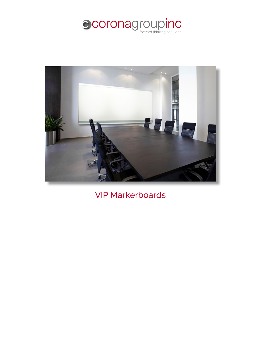



## VIP Markerboards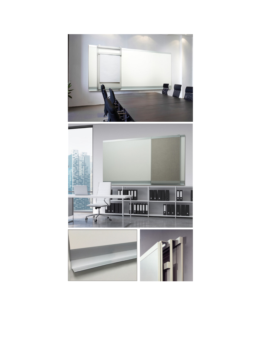